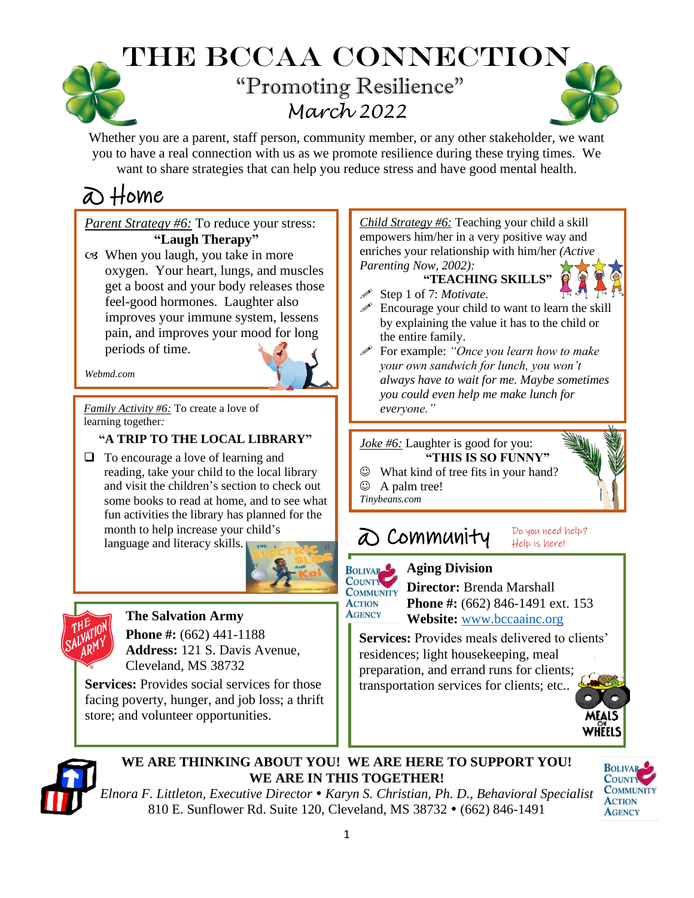# The BCCAA Connection "Promoting Resilience" *March 2022*

Whether you are a parent, staff person, community member, or any other stakeholder, we want you to have a real connection with us as we promote resilience during these trying times. We want to share strategies that can help you reduce stress and have good mental health.

# @ Home

*Parent Strategy #6:* To reduce your stress: **"Laugh Therapy"** When you laugh, you take in more oxygen. Your heart, lungs, and muscles get a boost and your body releases those feel-good hormones. Laughter also improves your immune system, lessens pain, and improves your mood for long periods of time.

*Webmd.com*

*Family Activity #6:* To create a love of learning together*:*

### **"A TRIP TO THE LOCAL LIBRARY"**

❑ To encourage a love of learning and reading, take your child to the local library and visit the children's section to check out some books to read at home, and to see what fun activities the library has planned for the month to help increase your child's

language and literacy skills.





**The Salvation Army Phone #:** (662) 441-1188 **Address:** 121 S. Davis Avenue, Cleveland, MS 38732

Services: Provides social services for those facing poverty, hunger, and job loss; a thrift store; and volunteer opportunities.

*Child Strategy #6:* Teaching your child a skill empowers him/her in a very positive way and enriches your relationship with him/her *(Active Parenting Now, 2002):*

**"TEACHING SKILLS"**



- Step 1 of 7: *Motivate.*
- $\mathscr P$  Encourage your child to want to learn the skill by explaining the value it has to the child or the entire family.
- For example: *"Once you learn how to make your own sandwich for lunch, you won't always have to wait for me. Maybe sometimes you could even help me make lunch for everyone."*

*Joke #6:* Laughter is good for you: **"THIS IS SO FUNNY"**

- ☺ What kind of tree fits in your hand?
- ☺ A palm tree!
- *Tinybeans.com*

## @ Community



**AGENCY** 

 **Aging Division COUNTILET Director:** Brenda Marshall

**Phone #:** (662) 846-1491 ext. 153  **Website:** [www.bccaainc.org](http://www.bccaainc.org/)

Do you need help? Help is here!

**Services:** Provides meals delivered to clients' residences; light housekeeping, meal preparation, and errand runs for clients; transportation services for clients; etc..





#### **WE ARE THINKING ABOUT YOU! WE ARE HERE TO SUPPORT YOU! WE ARE IN THIS TOGETHER!**

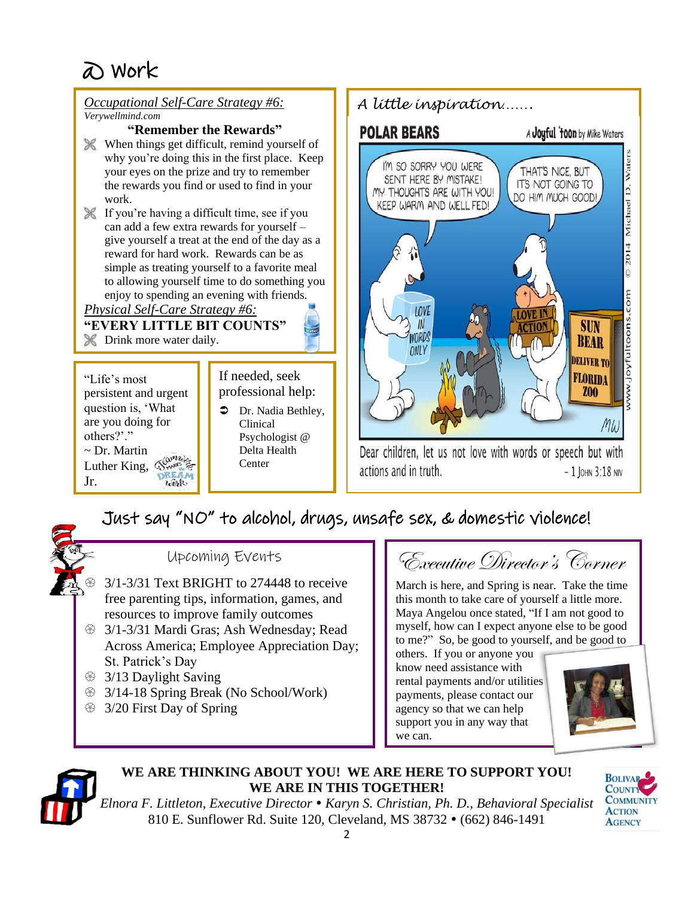#### *Occupational Self-Care Strategy #6: A little inspiration……. Verywellmind.com* **"Remember the Rewards" POLAR BEARS** A Jouful 'toon by Mike Waters When things get difficult, remind yourself of 2014 Michael D. Waters why you're doing this in the first place. Keep I'M SO SORRY YOU WERE THAT'S NICE, BUT your eyes on the prize and try to remember SENT HERE BY MISTAKE! IT'S NOT GOING TO the rewards you find or used to find in your MY THOUGHTS ARE WITH YOU! DO HIM MUCH GOOD! work. KEEP WARM AND WELL FED! If you're having a difficult time, see if you can add a few extra rewards for yourself – give yourself a treat at the end of the day as a reward for hard work. Rewards can be as simple as treating yourself to a favorite meal  $\ddot{\circ}$ to allowing yourself time to do something you www.joyfultoons.com enjoy to spending an evening with friends. *Physical Self-Care Strategy #6:* **LOVI "EVERY LITTLE BIT COUNTS"**  $\mathbb{I}$ **SUN** WORDS **X** Drink more water daily. **BEAR** ONLY **DELIVER TO** If needed, seek **FLORIDA** "Life's most persistent and urgent professional help: **Z00** question is, 'What  $\bullet$  Dr. Nadia Bethley, are you doing for Clinical MW others?'." Psychologist @ ~ Dr. Martin Delta Health Dear children, let us not love with words or speech but with Luther King,  $\mathbb{S}_{\text{max}}^{\text{max}}$ Center actions and in truth.  $-1$  JOHN 3:18 NIV Jr.  $u$  ork

### Just say "NO" to alcohol, drugs, unsafe sex, & domestic violence!



Upcoming Events

- 3/1-3/31 Text BRIGHT to 274448 to receive free parenting tips, information, games, and resources to improve family outcomes
- **3/1-3/31 Mardi Gras; Ash Wednesday; Read** Across America; Employee Appreciation Day; St. Patrick's Day
- <sup> $\circledR$ </sup> 3/13 Daylight Saving
- $\circ$  3/14-18 Spring Break (No School/Work)
- <sup>3/20</sup> First Day of Spring

Executive Director's Corner

March is here, and Spring is near. Take the time this month to take care of yourself a little more. Maya Angelou once stated, "If I am not good to myself, how can I expect anyone else to be good to me?" So, be good to yourself, and be good to

others. If you or anyone you know need assistance with rental payments and/or utilities payments, please contact our agency so that we can help support you in any way that we can.





### **WE ARE THINKING ABOUT YOU! WE ARE HERE TO SUPPORT YOU! WE ARE IN THIS TOGETHER!**

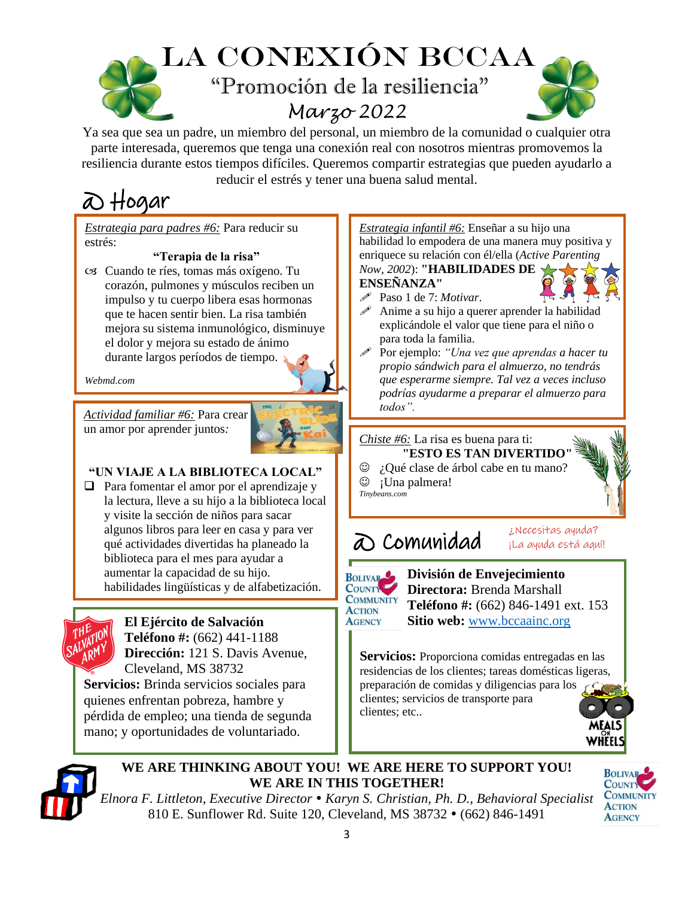

Ya sea que sea un padre, un miembro del personal, un miembro de la comunidad o cualquier otra parte interesada, queremos que tenga una conexión real con nosotros mientras promovemos la resiliencia durante estos tiempos difíciles. Queremos compartir estrategias que pueden ayudarlo a reducir el estrés y tener una buena salud mental.

# @ Hogar

*Estrategia para padres #6:* Para reducir su estrés:

#### **"Terapia de la risa"**

 Cuando te ríes, tomas más oxígeno. Tu corazón, pulmones y músculos reciben un impulso y tu cuerpo libera esas hormonas que te hacen sentir bien. La risa también mejora su sistema inmunológico, disminuye el dolor y mejora su estado de ánimo durante largos períodos de tiempo.

*Webmd.com* 

*Actividad familiar #6:* Para crear un amor por aprender juntos*:*



#### **"UN VIAJE A LA BIBLIOTECA LOCAL"**

❑ Para fomentar el amor por el aprendizaje y la lectura, lleve a su hijo a la biblioteca local y visite la sección de niños para sacar algunos libros para leer en casa y para ver qué actividades divertidas ha planeado la biblioteca para el mes para ayudar a aumentar la capacidad de su hijo. habilidades lingüísticas y de alfabetización.



**El Ejército de Salvación**

**Teléfono #:** (662) 441-1188 **Dirección:** 121 S. Davis Avenue, Cleveland, MS 38732

. **Servicios:** Brinda servicios sociales para quienes enfrentan pobreza, hambre y pérdida de empleo; una tienda de segunda mano; y oportunidades de voluntariado.

*Estrategia infantil #6:* Enseñar a su hijo una habilidad lo empodera de una manera muy positiva y enriquece su relación con él/ella (*Active Parenting Now, 2002*): **"HABILIDADES DE ENSEÑANZA"**

Paso 1 de 7: *Motivar*.

- $\mathscr N$  Anime a su hijo a querer aprender la habilidad explicándole el valor que tiene para el niño o para toda la familia.
- Por ejemplo: *"Una vez que aprendas a hacer tu propio sándwich para el almuerzo, no tendrás que esperarme siempre. Tal vez a veces incluso podrías ayudarme a preparar el almuerzo para todos".*

#### *Chiste #6:* La risa es buena para ti:

**"ESTO ES TAN DIVERTIDO** 

☺ ¿Qué clase de árbol cabe en tu mano?

☺ ¡Una palmera!

#### *Tinybeans.com*

### @ Comunidad



 **División de Envejecimiento Directora:** Brenda Marshall  **Teléfono #:** (662) 846-1491 ext. 153  **Sitio web:** [www.bccaainc.org](http://www.bccaainc.org/)

¿Necesitas ayuda? ¡La ayuda está aquí!

**Servicios:** Proporciona comidas entregadas en las residencias de los clientes; tareas domésticas ligeras, preparación de comidas y diligencias para los clientes; servicios de transporte para clientes; etc..





**WE ARE THINKING ABOUT YOU! WE ARE HERE TO SUPPORT YOU! WE ARE IN THIS TOGETHER!**